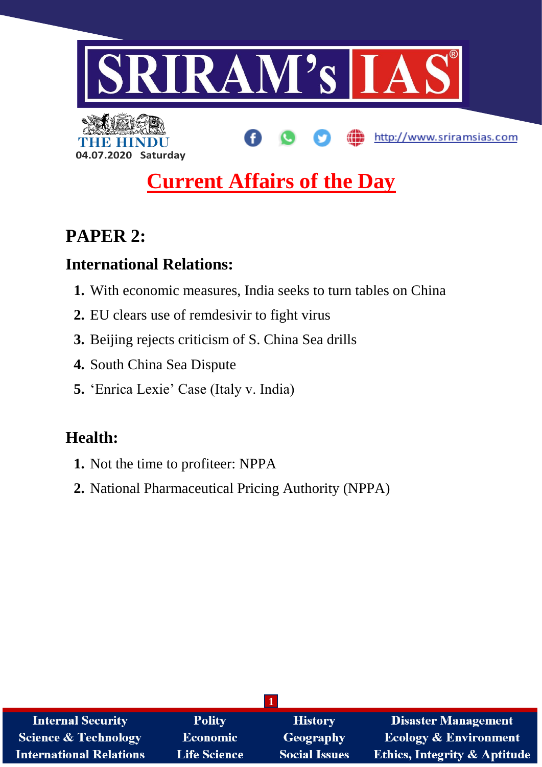



# **PAPER 2:**

## **International Relations:**

**04.07.2020 Saturday**

- **1.** With economic measures, India seeks to turn tables on China
- **2.** EU clears use of remdesivir to fight virus
- **3.** Beijing rejects criticism of S. China Sea drills
- **4.** South China Sea Dispute
- **5.** 'Enrica Lexie' Case (Italy v. India)

## **Health:**

- **1.** Not the time to profiteer: NPPA
- **2.** National Pharmaceutical Pricing Authority (NPPA)

| <b>Internal Security</b>        | <b>Polity</b>       | <b>History</b>       | <b>Disaster Management</b>              |  |
|---------------------------------|---------------------|----------------------|-----------------------------------------|--|
| <b>Science &amp; Technology</b> | <b>Economic</b>     | Geography            | <b>Ecology &amp; Environment</b>        |  |
| <b>International Relations</b>  | <b>Life Science</b> | <b>Social Issues</b> | <b>Ethics, Integrity &amp; Aptitude</b> |  |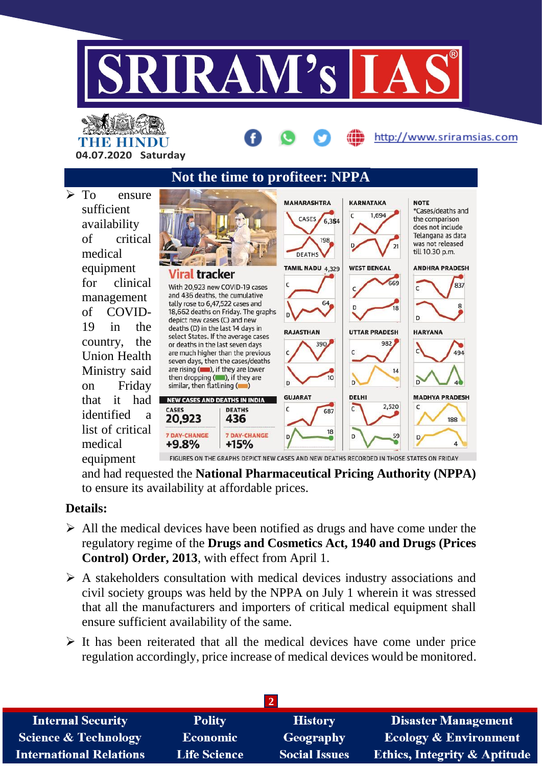

http://www.sriramsias.com

THE HINDL **04.07.2020 Saturday**

**Not the time to profiteer: NPPA**  $\triangleright$  To ensure **MAHARASHTRA KARNATAKA NOTE** sufficient \*Cases/deaths and  $\epsilon$ 1,694 CASES 6,364 the comparison availability does not include Telangana as data of critical 198 was not released till 10.30 p.m. medical **DEATHS** equipment TAMIL NADU 4,329 **WEST BENGAL ANDHRA PRADESH** al tracker for clinical 669 837 With 20.923 new COVID-19 cases  $\epsilon$  $\epsilon$ and 436 deaths, the cumulative management tally rose to 6,47,522 cases and 64  $\mathbf{a}$ of COVID-18,662 deaths on Friday. The graphs depict new cases (C) and new 19 in the deaths (D) in the last 14 days in **RAJASTHAN UTTAR PRADESH HARYANA** select States. If the average cases country, the 982 or deaths in the last seven days 390 are much higher than the previous 494 Union Health seven days, then the cases/deaths Ministry said are rising  $($ .  $)$ , if they are lower  $14$ then dropping  $($ , if they are  $10$ on Friday similar, then flatlining ( DELHI **GUJARAT MADHYA PRADESH** that it had NEW CASES AND DEATHS IN INDIA 2,520  $\epsilon$ **CASES DEATHS**  $\mathsf{C}$  $\mathsf{C}$ 687 identified a 20,923 436 188 list of critical 18 **7 DAY-CHANGE** 7 DAY-CHANGE  $\overline{D}$ 59 D. medical +9.8%  $+15%$ FIGURES ON THE GRAPHS DEPICT NEW CASES AND NEW DEATHS RECORDED IN THOSE STATES ON FRIDAY equipment

and had requested the **National Pharmaceutical Pricing Authority (NPPA)**  to ensure its availability at affordable prices.

## **Details:**

- $\triangleright$  All the medical devices have been notified as drugs and have come under the regulatory regime of the **Drugs and Cosmetics Act, 1940 and Drugs (Prices Control) Order, 2013**, with effect from April 1.
- $\triangleright$  A stakeholders consultation with medical devices industry associations and civil society groups was held by the NPPA on July 1 wherein it was stressed that all the manufacturers and importers of critical medical equipment shall ensure sufficient availability of the same.
- $\triangleright$  It has been reiterated that all the medical devices have come under price regulation accordingly, price increase of medical devices would be monitored.

| <b>Internal Security</b>        | <b>Polity</b>       | <b>History</b>       | <b>Disaster Management</b>              |  |
|---------------------------------|---------------------|----------------------|-----------------------------------------|--|
| <b>Science &amp; Technology</b> | <b>Economic</b>     | Geography            | <b>Ecology &amp; Environment</b>        |  |
| <b>International Relations</b>  | <b>Life Science</b> | <b>Social Issues</b> | <b>Ethics, Integrity &amp; Aptitude</b> |  |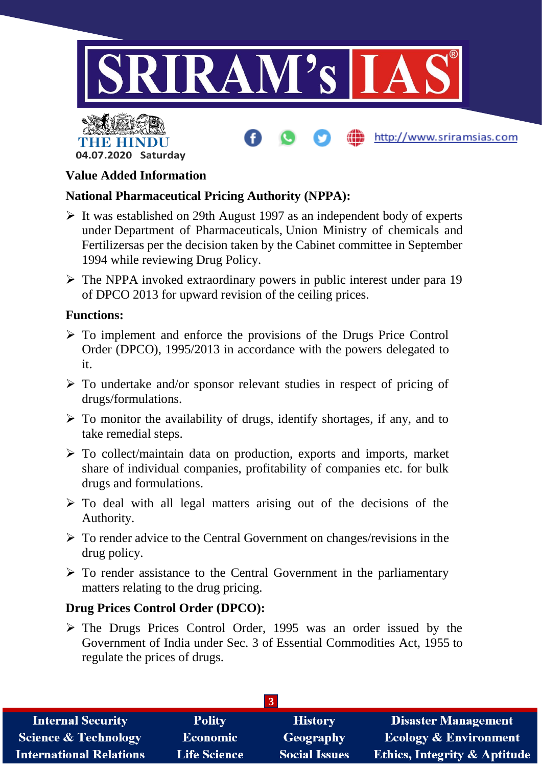





### **Value Added Information**

## **National Pharmaceutical Pricing Authority (NPPA):**

- $\triangleright$  It was established on 29th August 1997 as an independent body of experts under Department of Pharmaceuticals, Union Ministry of chemicals and Fertilizersas per the decision taken by the Cabinet committee in September 1994 while reviewing Drug Policy.
- $\triangleright$  The NPPA invoked extraordinary powers in public interest under para 19 of DPCO 2013 for upward revision of the ceiling prices.

#### **Functions:**

- $\triangleright$  To implement and enforce the provisions of the Drugs Price Control Order (DPCO), 1995/2013 in accordance with the powers delegated to it.
- $\triangleright$  To undertake and/or sponsor relevant studies in respect of pricing of drugs/formulations.
- $\triangleright$  To monitor the availability of drugs, identify shortages, if any, and to take remedial steps.
- $\triangleright$  To collect/maintain data on production, exports and imports, market share of individual companies, profitability of companies etc. for bulk drugs and formulations.
- $\triangleright$  To deal with all legal matters arising out of the decisions of the Authority.
- $\triangleright$  To render advice to the Central Government on changes/revisions in the drug policy.
- $\triangleright$  To render assistance to the Central Government in the parliamentary matters relating to the drug pricing.

## **Drug Prices Control Order (DPCO):**

 The Drugs Prices Control Order, 1995 was an order issued by the Government of India under Sec. 3 of Essential Commodities Act, 1955 to regulate the prices of drugs.

| <b>Internal Security</b>        | <b>Polity</b>       | <b>History</b>       | <b>Disaster Management</b>              |  |
|---------------------------------|---------------------|----------------------|-----------------------------------------|--|
| <b>Science &amp; Technology</b> | <b>Economic</b>     | Geography            | <b>Ecology &amp; Environment</b>        |  |
| <b>International Relations</b>  | <b>Life Science</b> | <b>Social Issues</b> | <b>Ethics, Integrity &amp; Aptitude</b> |  |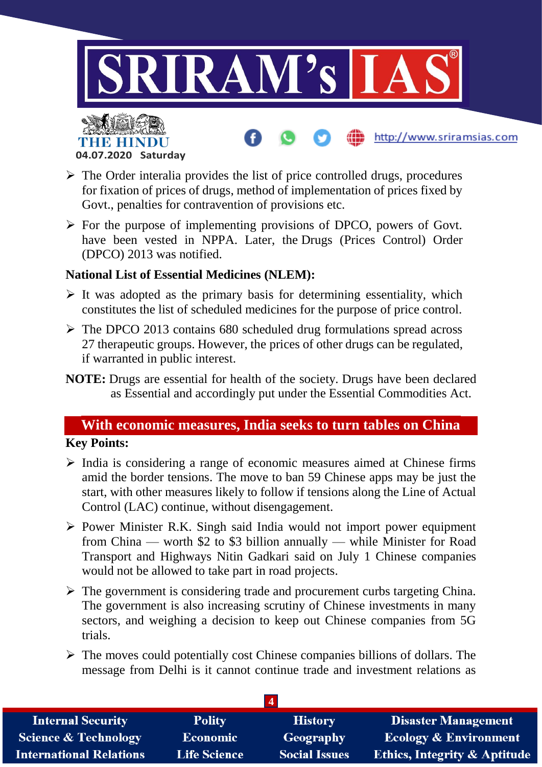

- **04.07.2020 Saturday**
- $\triangleright$  The Order interalia provides the list of price controlled drugs, procedures for fixation of prices of drugs, method of implementation of prices fixed by Govt., penalties for contravention of provisions etc.
- $\triangleright$  For the purpose of implementing provisions of DPCO, powers of Govt. have been vested in NPPA. Later, the Drugs (Prices Control) Order (DPCO) 2013 was notified.

### **National List of Essential Medicines (NLEM):**

- $\triangleright$  It was adopted as the primary basis for determining essentiality, which constitutes the list of scheduled medicines for the purpose of price control.
- $\triangleright$  The DPCO 2013 contains 680 scheduled drug formulations spread across 27 therapeutic groups. However, the prices of other drugs can be regulated, if warranted in public interest.
- **NOTE:** Drugs are essential for health of the society. Drugs have been declared as Essential and accordingly put under the Essential Commodities Act.

## **With economic measures, India seeks to turn tables on China**

## **Key Points:**

- $\triangleright$  India is considering a range of economic measures aimed at Chinese firms amid the border tensions. The move to ban 59 Chinese apps may be just the start, with other measures likely to follow if tensions along the Line of Actual Control (LAC) continue, without disengagement.
- $\triangleright$  Power Minister R.K. Singh said India would not import power equipment from China — worth \$2 to \$3 billion annually — while Minister for Road Transport and Highways Nitin Gadkari said on July 1 Chinese companies would not be allowed to take part in road projects.
- $\triangleright$  The government is considering trade and procurement curbs targeting China. The government is also increasing scrutiny of Chinese investments in many sectors, and weighing a decision to keep out Chinese companies from 5G trials.
- $\triangleright$  The moves could potentially cost Chinese companies billions of dollars. The message from Delhi is it cannot continue trade and investment relations as

| <b>Internal Security</b>        | <b>Polity</b>       | <b>History</b>       | <b>Disaster Management</b>              |
|---------------------------------|---------------------|----------------------|-----------------------------------------|
| <b>Science &amp; Technology</b> | <b>Economic</b>     | Geography            | <b>Ecology &amp; Environment</b>        |
| <b>International Relations</b>  | <b>Life Science</b> | <b>Social Issues</b> | <b>Ethics, Integrity &amp; Aptitude</b> |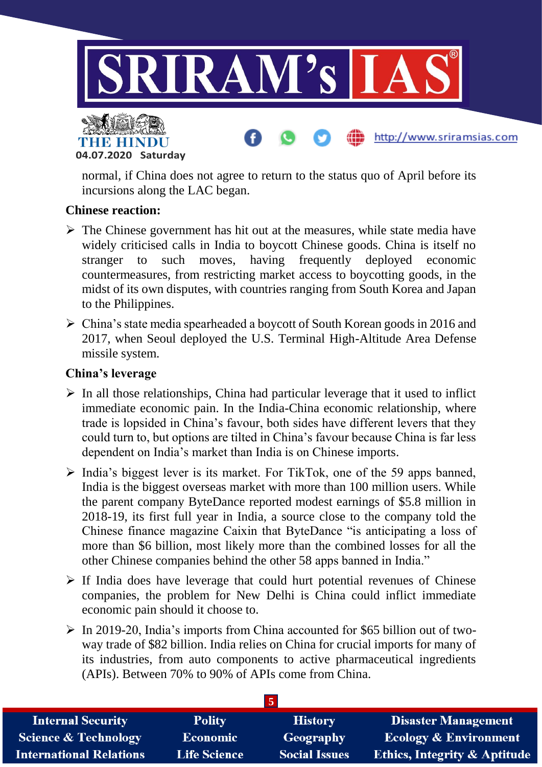

#### **04.07.2020 Saturday**

normal, if China does not agree to return to the status quo of April before its incursions along the LAC began.

#### **Chinese reaction:**

- $\triangleright$  The Chinese government has hit out at the measures, while state media have widely criticised calls in India to boycott Chinese goods. China is itself no stranger to such moves, having frequently deployed economic countermeasures, from restricting market access to boycotting goods, in the midst of its own disputes, with countries ranging from South Korea and Japan to the Philippines.
- China's state media spearheaded a boycott of South Korean goods in 2016 and 2017, when Seoul deployed the U.S. Terminal High-Altitude Area Defense missile system.

#### **China's leverage**

- $\triangleright$  In all those relationships, China had particular leverage that it used to inflict immediate economic pain. In the India-China economic relationship, where trade is lopsided in China's favour, both sides have different levers that they could turn to, but options are tilted in China's favour because China is far less dependent on India's market than India is on Chinese imports.
- $\triangleright$  India's biggest lever is its market. For TikTok, one of the 59 apps banned, India is the biggest overseas market with more than 100 million users. While the parent company ByteDance reported modest earnings of \$5.8 million in 2018-19, its first full year in India, a source close to the company told the Chinese finance magazine Caixin that ByteDance "is anticipating a loss of more than \$6 billion, most likely more than the combined losses for all the other Chinese companies behind the other 58 apps banned in India."
- $\triangleright$  If India does have leverage that could hurt potential revenues of Chinese companies, the problem for New Delhi is China could inflict immediate economic pain should it choose to.
- $\triangleright$  In 2019-20, India's imports from China accounted for \$65 billion out of twoway trade of \$82 billion. India relies on China for crucial imports for many of its industries, from auto components to active pharmaceutical ingredients (APIs). Between 70% to 90% of APIs come from China.

| <b>Internal Security</b>        | <b>Polity</b>       | <b>History</b>       | <b>Disaster Management</b>              |
|---------------------------------|---------------------|----------------------|-----------------------------------------|
| <b>Science &amp; Technology</b> | <b>Economic</b>     | Geography            | <b>Ecology &amp; Environment</b>        |
| <b>International Relations</b>  | <b>Life Science</b> | <b>Social Issues</b> | <b>Ethics, Integrity &amp; Aptitude</b> |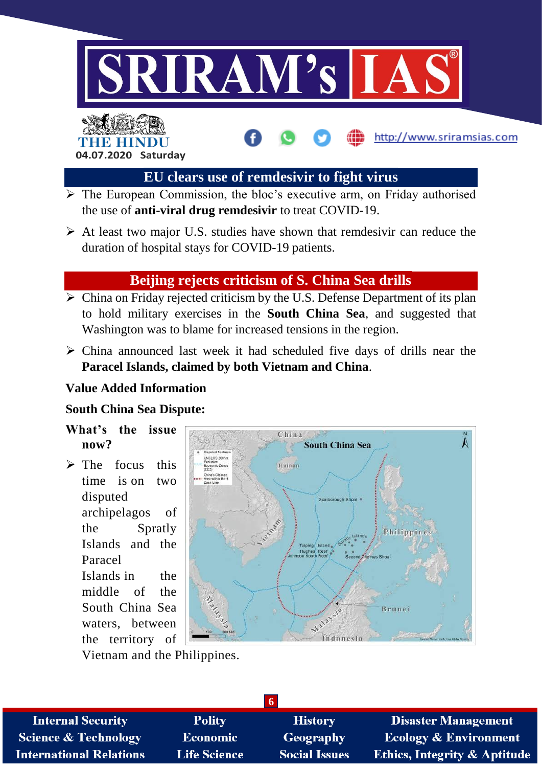



## **EU clears use of remdesivir to fight virus**

http://www.sriramsias.com

- $\overline{\triangleright}$  The European Commission, the bloc's executive arm, on Friday authorised the use of **anti-viral drug remdesivir** to treat COVID-19.
- $\triangleright$  At least two major U.S. studies have shown that remdesivir can reduce the duration of hospital stays for COVID-19 patients.

## **Beijing rejects criticism of S. China Sea drills**

- $\triangleright$  China on Friday rejected criticism by the U.S. Defense Department of its plan to hold military exercises in the **South China Sea**, and suggested that Washington was to blame for increased tensions in the region.
- $\triangleright$  China announced last week it had scheduled five days of drills near the **Paracel Islands, claimed by both Vietnam and China**.

#### **Value Added Information**

## **South China Sea Dispute:**

- **What's the issue now?**
- $\triangleright$  The focus this time is on two disputed archipelagos of the Spratly Islands and the Paracel Islands in the middle of the South China Sea waters, between the territory of



Vietnam and the Philippines.

| <b>Internal Security</b>        | <b>Polity</b>       | <b>History</b>       | <b>Disaster Management</b>              |  |
|---------------------------------|---------------------|----------------------|-----------------------------------------|--|
| <b>Science &amp; Technology</b> | <b>Economic</b>     | Geography            | <b>Ecology &amp; Environment</b>        |  |
| <b>International Relations</b>  | <b>Life Science</b> | <b>Social Issues</b> | <b>Ethics, Integrity &amp; Aptitude</b> |  |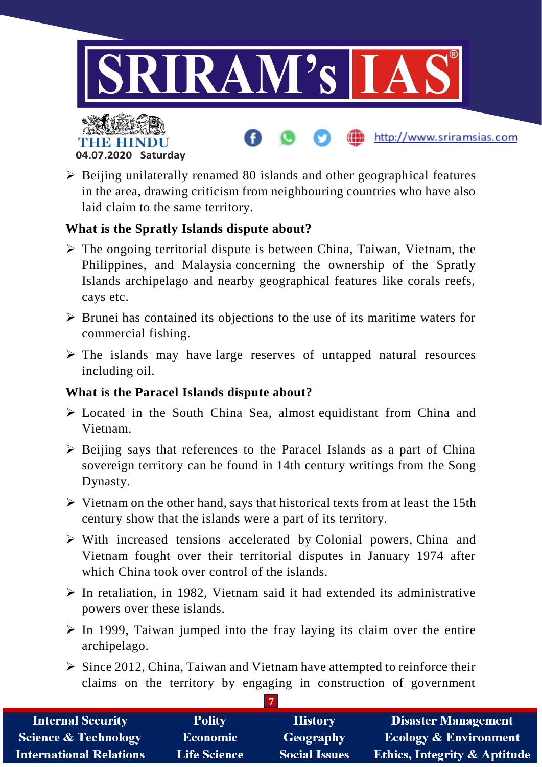

- **04.07.2020 Saturday**
- $\triangleright$  Beijing unilaterally renamed 80 islands and other geographical features in the area, drawing criticism from neighbouring countries who have also laid claim to the same territory.

## **What is the Spratly Islands dispute about?**

- $\triangleright$  The ongoing territorial dispute is between China, Taiwan, Vietnam, the Philippines, and Malaysia concerning the ownership of the Spratly Islands archipelago and nearby geographical features like corals reefs, cays etc.
- $\triangleright$  Brunei has contained its objections to the use of its maritime waters for commercial fishing.
- $\triangleright$  The islands may have large reserves of untapped natural resources including oil.

## **What is the Paracel Islands dispute about?**

- Located in the South China Sea, almost equidistant from China and Vietnam.
- $\triangleright$  Beijing says that references to the Paracel Islands as a part of China sovereign territory can be found in 14th century writings from the Song Dynasty.
- $\triangleright$  Vietnam on the other hand, says that historical texts from at least the 15th century show that the islands were a part of its territory.
- $\triangleright$  With increased tensions accelerated by Colonial powers, China and Vietnam fought over their territorial disputes in January 1974 after which China took over control of the islands.
- $\triangleright$  In retaliation, in 1982, Vietnam said it had extended its administrative powers over these islands.
- $\triangleright$  In 1999, Taiwan jumped into the fray laying its claim over the entire archipelago.
- $\triangleright$  Since 2012, China, Taiwan and Vietnam have attempted to reinforce their claims on the territory by engaging in construction of government

| <b>Internal Security</b>        | <b>Polity</b>       | <b>History</b>       | <b>Disaster Management</b>              |
|---------------------------------|---------------------|----------------------|-----------------------------------------|
| <b>Science &amp; Technology</b> | Economic            | Geography            | <b>Ecology &amp; Environment</b>        |
| <b>International Relations</b>  | <b>Life Science</b> | <b>Social Issues</b> | <b>Ethics, Integrity &amp; Aptitude</b> |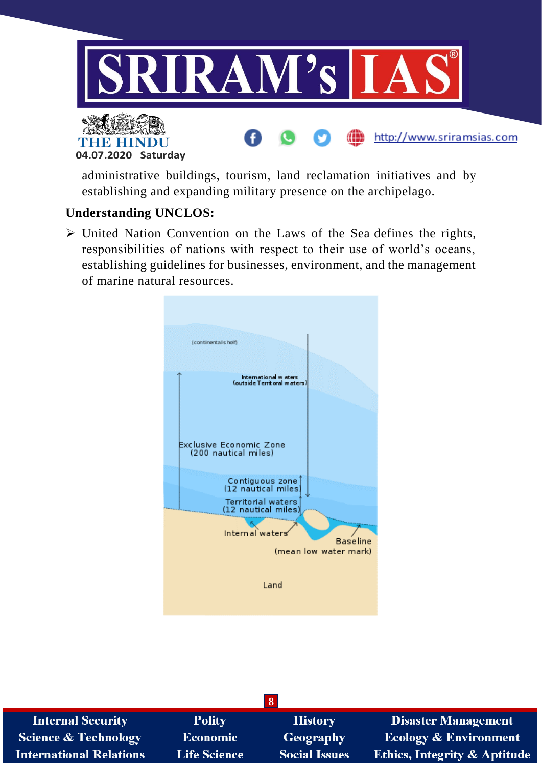

administrative buildings, tourism, land reclamation initiatives and by establishing and expanding military presence on the archipelago.

## **Understanding UNCLOS:**

 United Nation Convention on the Laws of the Sea defines the rights, responsibilities of nations with respect to their use of world's oceans, establishing guidelines for businesses, environment, and the management of marine natural resources.



|                                 |                     | 8                    |                                         |
|---------------------------------|---------------------|----------------------|-----------------------------------------|
| <b>Internal Security</b>        | <b>Polity</b>       | <b>History</b>       | <b>Disaster Management</b>              |
| <b>Science &amp; Technology</b> | Economic            | <b>Geography</b>     | <b>Ecology &amp; Environment</b>        |
| <b>International Relations</b>  | <b>Life Science</b> | <b>Social Issues</b> | <b>Ethics, Integrity &amp; Aptitude</b> |